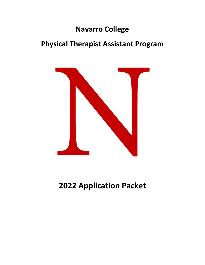# **Navarro College**

# **Physical Therapist Assistant Program**



**2022 Application Packet**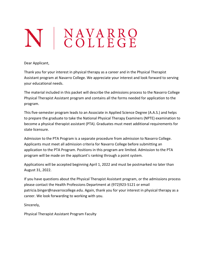# N | NAVARRO

Dear Applicant,

Thank you for your interest in physical therapy as a career and in the Physical Therapist Assistant program at Navarro College. We appreciate your interest and look forward to serving your educational needs.

The material included in this packet will describe the admissions process to the Navarro College Physical Therapist Assistant program and contains all the forms needed for application to the program.

This five-semester program leads to an Associate in Applied Science Degree (A.A.S.) and helps to prepare the graduate to take the National Physical Therapy Examiners (NPTE) examination to become a physical therapist assistant (PTA). Graduates must meet additional requirements for state licensure.

Admission to the PTA Program is a separate procedure from admission to Navarro College. Applicants must meet all admission criteria for Navarro College before submitting an application to the PTA Program. Positions in this program are limited. Admission to the PTA program will be made on the applicant's ranking through a point system.

Applications will be accepted beginning April 1, 2022 and must be postmarked no later than August 31, 2022.

If you have questions about the Physical Therapist Assistant program, or the admissions process please contact the Health Professions Department at (972)923-5121 or email patricia.binger@navarrocollege.edu. Again, thank you for your interest in physical therapy as a career. We look forwarding to working with you.

Sincerely,

Physical Therapist Assistant Program Faculty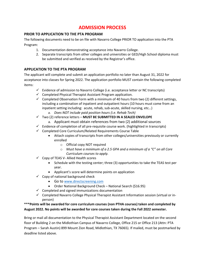# **ADMISSION PROCESS**

# **PRIOR TO APPLICATION TO THE PTA PROGRAM**

The following documents need to be on file with Navarro College PRIOR TO application into the PTA Program:

- 1. Documentation demonstrating acceptance into Navarro College.
- 2. Separate transcripts from other colleges and universities or GED/High School diploma must be submitted and verified as received by the Registrar's office.

# **APPLICATION TO THE PTA PROGRAM**

The applicant will complete and submit an application portfolio no later than August 31, 2022 for acceptance into classes for Spring 2022. The application portfolio MUST contain the following completed items:

- $\checkmark$  Evidence of admission to Navarro College (i.e. acceptance letter or NC transcripts)
- $\checkmark$  Completed Physical Therapist Assistant Program application.
- $\checkmark$  Completed Observation Form with a minimum of 40 hours from two (2) different settings, including a combination of inpatient and outpatient hours (10 hours must come from an inpatient setting including: acute, rehab, sub-acute, skilled nursing, etc…)
	- *a. Does NOT include paid position hours (i.e. Rehab Tech)*
- ✓ Two (2) reference letters **MUST BE SUBMITTED IN A SEALED ENVELOPE**
	- a. Applicant must obtain references from two (2) additional sources
- $\checkmark$  Evidence of completion of all pre-requisite course work. (highlighted in transcripts)
- $\checkmark$  Completed Core Curriculum/Related Requirements Course Table
	- Attach copies of transcripts from other colleges/universities previously or currently enrolled
		- o Official copy NOT required
		- o *Must have a minimum of a 2.5 GPA and a minimum of a "C" on all Core Curriculum courses to apply.*
- ✓ Copy of TEAS V- Allied Health scores
	- Schedule with the testing center; three (3) opportunities to take the TEAS test per year.
	- Applicant's score will determine points on application
- $\checkmark$  Copy of national background check
	- Go to [www.directscreening.com](http://www.directscreening.com/)
	- Order National Background Check National Search (\$16.95)
- $\checkmark$  Completed and signed immunizations documentation
- ✓ Completed Navarro College Physical Therapist Assistant Information session (virtual or inperson)

# **\*\*\*Points will be awarded for core curriculum courses (non PTHA courses) taken and completed by August 2022. No points will be awarded for core courses taken during the Fall 2022 semester.**

Bring or mail all documentation to the Physical Therapist Assistant Department located on the second floor of Building 2 on the Midlothian Campus of Navarro College, Office 215 or Office 213 (Attn: PTA Program – Sarah Austin) 899 Mount Zion Road, Midlothian, TX 76065). If mailed, must be postmarked by deadline listed above.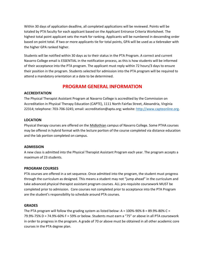Within 30 days of application deadline, all completed applications will be reviewed. Points will be totaled by PTA faculty for each applicant based on the Applicant Entrance Criteria Worksheet. The highest total point applicant sets the mark for ranking. Applicants will be numbered in descending order based on point total. If two or more applicants tie for total points, GPA will be used as a tiebreaker with the higher GPA ranked higher.

Students will be notified within 30 days as to their status in the PTA Program. A correct and current Navarro College email is ESSENTIAL in the notification process, as this is how students will be informed of their acceptance into the PTA program. The applicant must reply within 72 hours/3 days to ensure their position in the program. Students selected for admission into the PTA program will be required to attend a mandatory orientation at a date to be determined.

# **PROGRAM GENERAL INFORMATION**

# **ACCREDITATION**

The Physical Therapist Assistant Program at Navarro College is accredited by the Commission on Accreditation in Physical Therapy Education (CAPTE), 1111 North Fairfax Street, Alexandria, Virginia 22314; telephone: 703-706-3245; email: accreditation@apta.org; website[: http://www.capteonline.org.](http://www.capteonline.org/)

# **LOCATION**

Physical therapy courses are offered on the Midlothian campus of Navarro College. Some PTHA courses may be offered in hybrid format with the lecture portion of the course completed via distance education and the lab portion completed on campus.

# **ADMISSION**

A new class is admitted into the Physical Therapist Assistant Program each year. The program accepts a maximum of 23 students.

# **PROGRAM COURSES**

PTA courses are offered in a set sequence. Once admitted into the program, the student must progress through the curriculum as designed. This means a student may not "jump ahead" in the curriculum and take advanced physical therapist assistant program courses. ALL pre-requisite coursework MUST be completed prior to admission. Core courses not completed prior to acceptance into the PTA Program are the student's responsibility to schedule around PTA courses.

# **GRADES**

The PTA program will follow the grading system as listed below: A =  $100\%$ -90% B = 89.9%-80% C = 79.9%-75% D = 74.9%-60% F = 59% or below. Students must earn a "75" or above in all PTA coursework in order to progress in the program. A grade of 70 or above must be obtained in all other academic core courses in the PTA degree plan.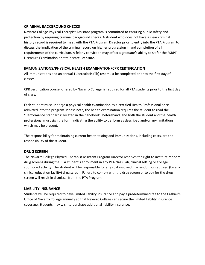# **CRIMINAL BACKGROUND CHECKS**

Navarro College Physical Therapist Assistant program is committed to ensuring public safety and protection by requiring criminal background checks. A student who does not have a clear criminal history record is required to meet with the PTA Program Director prior to entry into the PTA Program to discuss the implication of the criminal record on his/her progression in and completion of all requirements of the curriculum. A felony conviction may affect a graduate's ability to sit for the FSBPT Licensure Examination or attain state licensure.

# **IMMUNIZATIONS/PHYSICAL HEALTH EXAMINATION/CPR CERTIFICATION**

All immunizations and an annual Tuberculosis (Tb) test must be completed prior to the first day of classes.

CPR certification course, offered by Navarro College, is required for all PTA students prior to the first day of class.

Each student must undergo a physical health examination by a certified Health Professional once admitted into the program. Please note, the health examination requires the student to read the "Performance Standards" located in the handbook, beforehand, and both the student and the health professional must sign the form indicating the ability to perform as described and/or any limitations which may be present.

The responsibility for maintaining current health testing and immunizations, including costs, are the responsibility of the student.

# **DRUG SCREEN**

The Navarro College Physical Therapist Assistant Program Director reserves the right to institute random drug screens during the PTA student's enrollment in any PTA class, lab, clinical setting or College sponsored activity. The student will be responsible for any cost involved in a random or required (by any clinical education facility) drug screen. Failure to comply with the drug screen or to pay for the drug screen will result in dismissal from the PTA Program.

# **LIABILITY INSURANCE**

Students will be required to have limited liability insurance and pay a predetermined fee to the Cashier's Office of Navarro College annually so that Navarro College can secure the limited liability insurance coverage. Students may wish to purchase additional liability insurance.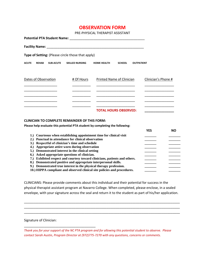# **OBSERVATION FORM**

PRE-PHYSICAL THERAPIST ASSISTANT

|              |                      |                  | Potential PTA Student Name: Name: Name and Allen Annual Annual Annual Annual Annual Annual Annual Annual Annua |                              |               |                   |                     |
|--------------|----------------------|------------------|----------------------------------------------------------------------------------------------------------------|------------------------------|---------------|-------------------|---------------------|
|              |                      |                  |                                                                                                                |                              |               |                   |                     |
|              |                      |                  | Type of Setting: (Please circle those that apply)                                                              |                              |               |                   |                     |
| <b>ACUTE</b> | <b>REHAB</b>         | <b>SUB-ACUTE</b> | <b>SKILLED NURSING</b>                                                                                         | <b>HOME HEALTH</b>           | <b>SCHOOL</b> | <b>OUTPATIENT</b> |                     |
|              | Dates of Observation |                  | # Of Hours                                                                                                     | Printed Name of Clinician    |               |                   | Clinician's Phone # |
|              |                      |                  |                                                                                                                | <b>TOTAL HOURS OBSERVED:</b> |               |                   |                     |

#### **CLINICIAN TO COMPLETE REMAINDER OF THIS FORM:**

**Please help evaluate this potential PTA student by completing the following:**

|                                                                            | YFS |  |
|----------------------------------------------------------------------------|-----|--|
| 1.) Courteous when establishing appointment time for clinical visit        |     |  |
| 2.) Punctual in attendance for clinical observation                        |     |  |
| 3.) Respectful of clinician's time and schedule                            |     |  |
| 4.) Appropriate attire worn during observation                             |     |  |
| 5.) Demonstrated interest in the clinical setting                          |     |  |
| 6.) Asked appropriate questions of clinician.                              |     |  |
| 7.) Exhibited respect and courtesy toward clinicians, patients and others. |     |  |
| 8.) Demonstrated positive and appropriate interpersonal skills.            |     |  |
| 9.) Demonstrated true interest in the physical therapy profession.         |     |  |
| 10.) HIPPA compliant and observed clinical site policies and procedures.   |     |  |

CLINICIANS: Please provide comments about this individual and their potential for success in the physical therapist assistant program at Navarro College. When completed, please enclose, in a sealed envelope, with your signature across the seal and return it to the student as part of his/her application.

\_\_\_\_\_\_\_\_\_\_\_\_\_\_\_\_\_\_\_\_\_\_\_\_\_\_\_\_\_\_\_\_\_\_\_\_\_\_\_\_\_\_\_\_\_\_\_\_\_\_\_\_\_\_\_\_\_\_\_\_\_\_\_\_\_\_\_\_\_\_\_\_\_\_\_\_\_\_\_\_\_\_\_\_\_ \_\_\_\_\_\_\_\_\_\_\_\_\_\_\_\_\_\_\_\_\_\_\_\_\_\_\_\_\_\_\_\_\_\_\_\_\_\_\_\_\_\_\_\_\_\_\_\_\_\_\_\_\_\_\_\_\_\_\_\_\_\_\_\_\_\_\_\_\_\_\_\_\_\_\_\_\_\_\_\_\_\_\_\_\_ \_\_\_\_\_\_\_\_\_\_\_\_\_\_\_\_\_\_\_\_\_\_\_\_\_\_\_\_\_\_\_\_\_\_\_\_\_\_\_\_\_\_\_\_\_\_\_\_\_\_\_\_\_\_\_\_\_\_\_\_\_\_\_\_\_\_\_\_\_\_\_\_\_\_\_\_\_\_\_\_\_\_\_\_\_

Signature of Clinician:

\_\_\_\_\_\_\_\_\_\_\_\_\_\_\_\_\_\_\_\_\_\_\_\_\_\_\_\_\_\_\_\_\_\_\_\_\_\_\_

*Thank you for your support of the NC PTA program and for allowing this potential student to observe. Please contact Sarah Austin, Program Director at (972)775-7270 with any questions, concerns or comments.*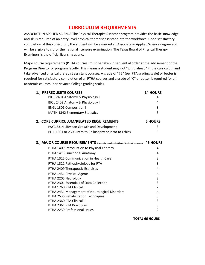# **CURRICULUM REQUIREMENTS**

ASSOCIATE IN APPLIED SCIENCE The Physical Therapist Assistant program provides the basic knowledge and skills required of an entry-level physical therapist assistant into the workforce. Upon satisfactory completion of this curriculum, the student will be awarded an Associate in Applied Science degree and will be eligible to sit for the national licensure examination. The Texas Board of Physical Therapy Examiners is the official licensing agency.

Major course requirements (PTHA courses) must be taken in sequential order at the advisement of the Program Director or program faculty. This means a student may not "jump ahead" in the curriculum and take advanced physical therapist assistant courses. A grade of "75" (per PTA grading scale) or better is required for satisfactory completion of all PTHA courses and a grade of "C" or better is required for all academic courses (per Navarro College grading scale).

| 1.) PREREQUISITE COURSES                                                                     | <b>14 HOURS</b> |
|----------------------------------------------------------------------------------------------|-----------------|
| BIOL 2401 Anatomy & Physiology I                                                             | 4               |
| BIOL 2402 Anatomy & Physiology II                                                            | 4               |
| ENGL 1301 Composition I                                                                      | 3               |
| MATH 1342 Elementary Statistics                                                              | 3               |
| 2.) CORE CURRICULUM/RELATED REQUIREMENTS                                                     | <b>6 HOURS</b>  |
| PSYC 2314 Lifespan Growth and Development                                                    | 3               |
| PHIL 1301 or 2306 Intro to Philosophy or Intro to Ethics                                     | 3               |
| 3.) MAJOR COURSE REQUIREMENTS (cannot be completed until admitted into the program) 46 HOURS |                 |
| PTHA 1409 Introduction to Physical Therapy                                                   | 4               |
| PTHA 1413 Functional Anatomy                                                                 | 4               |
| PTHA 1325 Communication in Health Care                                                       | 3               |
| PTHA 1321 Pathophysiology for PTA                                                            | 3               |
| PTHA 2409 Therapeutic Exercises                                                              | $\overline{4}$  |
| PTHA 1431 Physical Agents                                                                    | 4               |
| PTHA 2205 Neurology                                                                          | 2               |
| PTHA 2301 Essentials of Data Collection                                                      | 3               |
| PTHA 1260 PTA Clinical I                                                                     | $\overline{2}$  |
| PTHA 2431 Management of Neurological Disorders                                               | 4               |
| PTHA 2535 Rehabilitation Techniques                                                          | 5               |
| PTHA 2360 PTA Clinical II                                                                    | 3               |
| PTHA 2361 PTA Practicum                                                                      | 3               |
| PTHA 2239 Professional Issues                                                                | 2               |

**TOTAL 66 HOURS**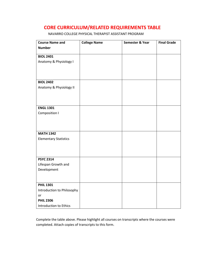# **CORE CURRICULUM/RELATED REQUIREMENTS TABLE**

NAVARRO COLLEGE PHYSICAL THERAPIST ASSISTANT PROGRAM

| <b>Course Name and</b>       | <b>College Name</b> | Semester & Year | <b>Final Grade</b> |
|------------------------------|---------------------|-----------------|--------------------|
| <b>Number</b>                |                     |                 |                    |
|                              |                     |                 |                    |
| <b>BIOL 2401</b>             |                     |                 |                    |
| Anatomy & Physiology I       |                     |                 |                    |
|                              |                     |                 |                    |
|                              |                     |                 |                    |
| <b>BIOL 2402</b>             |                     |                 |                    |
| Anatomy & Physiology II      |                     |                 |                    |
|                              |                     |                 |                    |
|                              |                     |                 |                    |
|                              |                     |                 |                    |
| <b>ENGL 1301</b>             |                     |                 |                    |
| Composition I                |                     |                 |                    |
|                              |                     |                 |                    |
|                              |                     |                 |                    |
|                              |                     |                 |                    |
| <b>MATH 1342</b>             |                     |                 |                    |
| <b>Elementary Statistics</b> |                     |                 |                    |
|                              |                     |                 |                    |
|                              |                     |                 |                    |
| <b>PSYC 2314</b>             |                     |                 |                    |
| Lifespan Growth and          |                     |                 |                    |
| Development                  |                     |                 |                    |
|                              |                     |                 |                    |
|                              |                     |                 |                    |
| <b>PHIL 1301</b>             |                     |                 |                    |
| Introduction to Philosophy   |                     |                 |                    |
| or                           |                     |                 |                    |
| <b>PHIL 2306</b>             |                     |                 |                    |
| Introduction to Ethics       |                     |                 |                    |

Complete the table above. Please highlight all courses on transcripts where the courses were completed. Attach copies of transcripts to this form.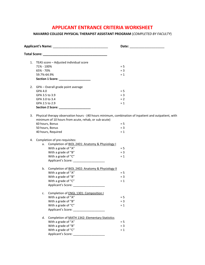# **APPLICANT ENTRANCE CRITERIA WORKSHEET**

**NAVARRO COLLEGE PHYSICAL THERAPIST ASSISTANT PROGRAM** (*COMPLETED BY FACULTY*)

| 1. |                                                      | TEAS score - Adjusted individual score                                                                |       |  |  |  |
|----|------------------------------------------------------|-------------------------------------------------------------------------------------------------------|-------|--|--|--|
|    | 71% - 100%                                           |                                                                                                       | $= 5$ |  |  |  |
|    | 65% - 70%                                            |                                                                                                       | $= 3$ |  |  |  |
|    | 59.7%-64.9%                                          |                                                                                                       | $= 1$ |  |  |  |
|    |                                                      | Section 1 Score: ___________________                                                                  |       |  |  |  |
| 2. |                                                      | GPA - Overall grade point average                                                                     |       |  |  |  |
|    | GPA 4.0                                              |                                                                                                       | $= 5$ |  |  |  |
|    | GPA 3.5 to 3.9                                       |                                                                                                       | $=$ 3 |  |  |  |
|    | GPA 3.0 to 3.4                                       |                                                                                                       | $= 2$ |  |  |  |
|    | GPA 2.5 to 2.9                                       |                                                                                                       | $= 1$ |  |  |  |
|    |                                                      | Section 2 Score: ___________________                                                                  |       |  |  |  |
| 3. |                                                      | Physical therapy observation hours - (40 hours minimum, combination of inpatient and outpatient, with |       |  |  |  |
|    | minimum of 10 hours from acute, rehab, or sub-acute) |                                                                                                       |       |  |  |  |
|    |                                                      | 60 hours, Bonus                                                                                       | $= 5$ |  |  |  |
|    |                                                      | 50 hours, Bonus                                                                                       | $= 3$ |  |  |  |
|    |                                                      | 40 hours, Required                                                                                    | $= 1$ |  |  |  |
| 4. |                                                      | Completion of pre-requisites:                                                                         |       |  |  |  |
|    |                                                      | a. Completion of BIOL 2401: Anatomy & Physiology I                                                    |       |  |  |  |
|    |                                                      | With a grade of "A"                                                                                   | $= 5$ |  |  |  |
|    |                                                      | With a grade of "B"                                                                                   | $= 3$ |  |  |  |
|    |                                                      | With a grade of "C"                                                                                   | $= 1$ |  |  |  |
|    |                                                      | Applicant's Score: _____________________                                                              |       |  |  |  |
|    | b.                                                   | Completion of BIOL 2402: Anatomy & Physiology II                                                      |       |  |  |  |
|    |                                                      | With a grade of "A"                                                                                   | $= 5$ |  |  |  |
|    |                                                      | With a grade of "B"                                                                                   | $= 3$ |  |  |  |
|    |                                                      | With a grade of "C"                                                                                   | $= 1$ |  |  |  |
|    |                                                      | Applicant's Score: ______________________                                                             |       |  |  |  |
|    | c.                                                   | Completion of <b>ENGL 1301: Composition I</b>                                                         |       |  |  |  |
|    |                                                      | With a grade of "A"                                                                                   | $= 5$ |  |  |  |
|    |                                                      | With a grade of "B"                                                                                   | $= 3$ |  |  |  |
|    |                                                      | With a grade of "C"                                                                                   | $= 1$ |  |  |  |
|    |                                                      | Applicant's Score:                                                                                    |       |  |  |  |
|    | d.                                                   | Completion of MATH 1342: Elementary Statistics                                                        |       |  |  |  |
|    |                                                      | With a grade of "A"                                                                                   | $= 5$ |  |  |  |
|    |                                                      | With a grade of "B"                                                                                   | $= 3$ |  |  |  |
|    |                                                      | With a grade of "C"                                                                                   | $= 1$ |  |  |  |
|    |                                                      | Applicant's Score:                                                                                    |       |  |  |  |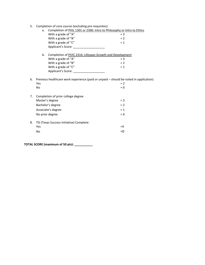5. Completion of core course (excluding pre-requisites):

|    | $\frac{1}{2}$ . Or core coarse (excraaning pre-requisites). |                                                                                       |       |  |  |
|----|-------------------------------------------------------------|---------------------------------------------------------------------------------------|-------|--|--|
|    | a.                                                          | Completion of PHIL 1301 or 2306: Intro to Philosophy or Intro to Ethics               |       |  |  |
|    |                                                             | With a grade of "A"                                                                   | $=$ 3 |  |  |
|    |                                                             | With a grade of "B"                                                                   | $= 2$ |  |  |
|    |                                                             | With a grade of "C"                                                                   | $= 1$ |  |  |
|    |                                                             |                                                                                       |       |  |  |
|    | b.                                                          | Completion of PSYC 2314: Lifespan Growth and Development                              |       |  |  |
|    |                                                             | With a grade of "A"                                                                   | $=$ 3 |  |  |
|    |                                                             | With a grade of "B"                                                                   | $= 2$ |  |  |
|    |                                                             | With a grade of "C"                                                                   | $= 1$ |  |  |
|    |                                                             |                                                                                       |       |  |  |
|    |                                                             |                                                                                       |       |  |  |
| 6. |                                                             | Previous healthcare work experience (paid or unpaid - should be noted in application) | $= 2$ |  |  |
|    | Yes                                                         |                                                                                       |       |  |  |
|    | No                                                          |                                                                                       | $= 0$ |  |  |
| 7. |                                                             | Completion of prior college degree                                                    |       |  |  |
|    |                                                             | Master's degree                                                                       | $=$ 3 |  |  |
|    |                                                             | Bachelor's degree                                                                     | $= 2$ |  |  |
|    |                                                             | Associate's degree                                                                    | $= 1$ |  |  |
|    |                                                             | No prior degree                                                                       | $= 0$ |  |  |
| 8. |                                                             | TSI (Texas Success Initiative) Complete:                                              |       |  |  |
|    | Yes                                                         |                                                                                       | $=4$  |  |  |
|    | No                                                          |                                                                                       | $= 0$ |  |  |
|    |                                                             |                                                                                       |       |  |  |
|    |                                                             |                                                                                       |       |  |  |

**TOTAL SCORE (maximum of 50 pts): \_\_\_\_\_\_\_\_\_\_\_**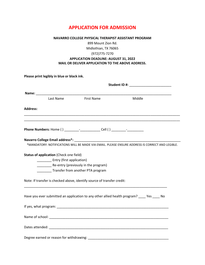# **APPLICATION FOR ADMISSION**

#### **NAVARRO COLLEGE PHYSICAL THERAPIST ASSISTANT PROGRAM**

899 Mount Zion Rd.

Midlothian, TX 76065

# (972)775-7270

#### **APPLICATION DEADLINE: AUGUST 31, 2022 MAIL OR DELIVER APPLICATION TO THE ABOVE ADDRESS.**

**Please print legibly in blue or black ink.** 

|                 | Last Name                               | <b>First Name</b>                                                                | Middle                                                                                          |  |  |
|-----------------|-----------------------------------------|----------------------------------------------------------------------------------|-------------------------------------------------------------------------------------------------|--|--|
| <b>Address:</b> |                                         |                                                                                  |                                                                                                 |  |  |
|                 |                                         | Phone Numbers: Home () ________-_-_____________ Cell () _________-__-___________ |                                                                                                 |  |  |
|                 |                                         |                                                                                  |                                                                                                 |  |  |
|                 |                                         |                                                                                  | *MANDATORY: NOTIFICATIONS WILL BE MADE VIA EMAIL. PLEASE ENSURE ADDRESS IS CORRECT AND LEGIBLE. |  |  |
|                 | Status of application (Check one field) |                                                                                  |                                                                                                 |  |  |
|                 | _____________ Entry (first application) | Re-entry (previously in the program)                                             |                                                                                                 |  |  |
|                 | Transfer from another PTA program       |                                                                                  |                                                                                                 |  |  |
|                 |                                         | Note: If transfer is checked above, identify source of transfer credit:          |                                                                                                 |  |  |
|                 |                                         |                                                                                  | Have you ever submitted an application to any other allied health program? _____ Yes _____ No   |  |  |
|                 |                                         |                                                                                  |                                                                                                 |  |  |
|                 |                                         |                                                                                  |                                                                                                 |  |  |
|                 |                                         |                                                                                  |                                                                                                 |  |  |
|                 |                                         |                                                                                  |                                                                                                 |  |  |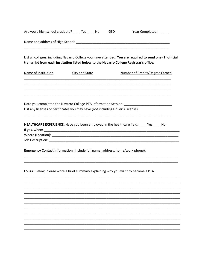| Are you a high school graduate? _____ Yes _____ No |                                                                                                                                                                                                       | GED | Year Completed: ______          |  |  |  |
|----------------------------------------------------|-------------------------------------------------------------------------------------------------------------------------------------------------------------------------------------------------------|-----|---------------------------------|--|--|--|
|                                                    |                                                                                                                                                                                                       |     |                                 |  |  |  |
|                                                    | List all colleges, including Navarro College you have attended. You are required to send one (1) official<br>transcript from each institution listed below to the Navarro College Registrar's office. |     |                                 |  |  |  |
| Name of Institution                                | City and State                                                                                                                                                                                        |     | Number of Credits/Degree Earned |  |  |  |
|                                                    | Date you completed the Navarro College PTA Information Session: _________________<br>List any licenses or certificates you may have (not including Driver's License):                                 |     |                                 |  |  |  |
|                                                    | HEALTHCARE EXPERIENCE: Have you been employed in the healthcare field: _____ Yes _____ No                                                                                                             |     |                                 |  |  |  |
|                                                    | Emergency Contact Information (Include full name, address, home/work phone):                                                                                                                          |     |                                 |  |  |  |
|                                                    | ESSAY: Below, please write a brief summary explaining why you want to become a PTA.                                                                                                                   |     |                                 |  |  |  |
|                                                    |                                                                                                                                                                                                       |     |                                 |  |  |  |
|                                                    |                                                                                                                                                                                                       |     |                                 |  |  |  |
|                                                    |                                                                                                                                                                                                       |     |                                 |  |  |  |
|                                                    |                                                                                                                                                                                                       |     |                                 |  |  |  |
|                                                    |                                                                                                                                                                                                       |     |                                 |  |  |  |
|                                                    |                                                                                                                                                                                                       |     |                                 |  |  |  |
|                                                    |                                                                                                                                                                                                       |     |                                 |  |  |  |
|                                                    |                                                                                                                                                                                                       |     |                                 |  |  |  |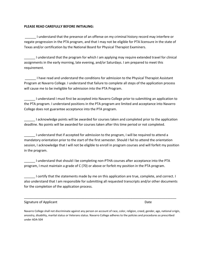#### **PLEASE READ CAREFULLY BEFORE INITIALING:**

\_\_\_\_\_\_ I understand that the presence of an offense on my criminal history record may interfere or negate progression in the PTA program, and that I may not be eligible for PTA licensure in the state of Texas and/or certification by the National Board for Physical Therapist Examiners.

\_\_\_\_\_\_ I understand that the program for which I am applying may require extended travel for clinical assignments in the early morning, late evening, and/or Saturdays. I am prepared to meet this requirement.

\_\_\_\_\_\_ I have read and understand the conditions for admission to the Physical Therapist Assistant Program at Navarro College. I understand that failure to complete all steps of the application process will cause me to be ineligible for admission into the PTA Program.

\_\_\_\_\_\_ I understand I must first be accepted into Navarro College prior to submitting an application to the PTA program. I understand positions in the PTA program are limited and acceptance into Navarro College does not guarantee acceptance into the PTA program.

\_\_\_\_\_\_ I acknowledge points will be awarded for courses taken and completed prior to the application deadline. No points will be awarded for courses taken after this time period or not completed.

\_\_\_\_\_\_ I understand that if accepted for admission to the program, I will be required to attend a mandatory orientation prior to the start of the first semester. Should I fail to attend the orientation session, I acknowledge that I will not be eligible to enroll in program courses and will forfeit my position in the program.

\_\_\_\_\_\_ I understand that should I be completing non-PTHA courses after acceptance into the PTA program, I must maintain a grade of C (70) or above or forfeit my position in the PTA program.

I certify that the statements made by me on this application are true, complete, and correct. I also understand that I am responsible for submitting all requested transcripts and/or other documents for the completion of the application process.

\_\_\_\_\_\_\_\_\_\_\_\_\_\_\_\_\_\_\_\_\_\_\_\_\_\_\_\_\_\_\_\_\_\_\_\_\_\_\_\_\_\_\_\_\_\_\_\_\_\_\_\_\_\_\_\_\_\_\_\_\_\_\_\_\_\_\_\_\_\_\_\_\_\_\_\_\_\_\_\_\_\_\_

# Signature of Applicant **Date** Date of Applicant **Date of Applicant** Date of Applicant **Date**

Navarro College shall not discriminate against any person on account of race, color, religion, creed, gender, age, national origin, ancestry, disability, marital status or Veterans status. Navarro College adheres to the policies and procedures as prescribed under ADA-504